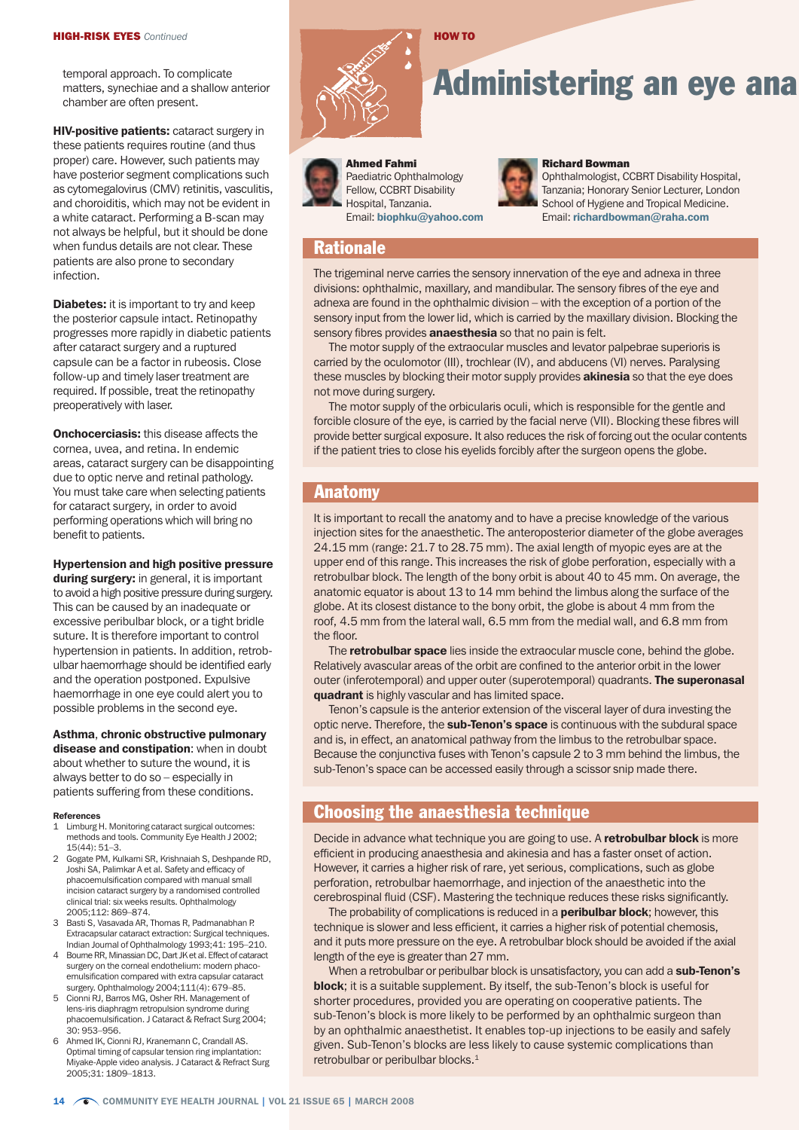temporal approach. To complicate matters, synechiae and a shallow anterior chamber are often present.

**HIV-positive patients: cataract surgery in** these patients requires routine (and thus proper) care. However, such patients may have posterior segment complications such as cytomegalovirus (CMV) retinitis, vasculitis, and choroiditis, which may not be evident in a white cataract. Performing a B-scan may not always be helpful, but it should be done when fundus details are not clear. These patients are also prone to secondary infection.

**Diabetes:** it is important to try and keep the posterior capsule intact. Retinopathy progresses more rapidly in diabetic patients after cataract surgery and a ruptured capsule can be a factor in rubeosis. Close follow-up and timely laser treatment are required. If possible, treat the retinopathy preoperatively with laser.

**Onchocerciasis:** this disease affects the cornea, uvea, and retina. In endemic areas, cataract surgery can be disappointing due to optic nerve and retinal pathology. You must take care when selecting patients for cataract surgery, in order to avoid performing operations which will bring no benefit to patients.

Hypertension and high positive pressure during surgery: in general, it is important to avoid a high positive pressure during surgery. This can be caused by an inadequate or excessive peribulbar block, or a tight bridle suture. It is therefore important to control hypertension in patients. In addition, retrobulbar haemorrhage should be identified early and the operation postponed. Expulsive haemorrhage in one eye could alert you to possible problems in the second eye.

Asthma, chronic obstructive pulmonary disease and constipation: when in doubt about whether to suture the wound, it is always better to do so – especially in patients suffering from these conditions.

#### References

- 1 Limburg H. Monitoring cataract surgical outcomes: methods and tools. Community Eye Health J 2002; 15(44): 51–3.
- 2 Gogate PM, Kulkarni SR, Krishnaiah S, Deshpande RD, Joshi SA, Palimkar A et al. Safety and efficacy of phacoemulsification compared with manual small incision cataract surgery by a randomised controlled clinical trial: six weeks results. Ophthalmology 2005;112: 869–874.
- 3 Basti S, Vasavada AR, Thomas R, Padmanabhan P. Extracapsular cataract extraction: Surgical techniques. Indian Journal of Ophthalmology 1993;41: 195–210.
- 4 Bourne RR, Minassian DC, Dart JK et al. Effect of cataract surgery on the corneal endothelium: modern phacoemulsification compared with extra capsular cataract surgery. Ophthalmology 2004;111(4): 679–85.
- 5 Cionni RJ, Barros MG, Osher RH. Management of lens-iris diaphragm retropulsion syndrome during phacoemulsification. J Cataract & Refract Surg 2004; 30: 953–956.
- 6 Ahmed IK, Cionni RJ, Kranemann C, Crandall AS. Optimal timing of capsular tension ring implantation: Miyake-Apple video analysis. J Cataract & Refract Surg 2005;31: 1809–1813.



# **Administering an eye ana**

# Ahmed Fahmi

Paediatric Ophthalmology Fellow, CCBRT Disability Hospital, Tanzania. Email: biophku@yahoo.com

HOW TO

#### Richard Bowman

Ophthalmologist, CCBRT Disability Hospital, Tanzania; Honorary Senior Lecturer, London School of Hygiene and Tropical Medicine. Email: richardbowman@raha.com

# **Rationale**

The trigeminal nerve carries the sensory innervation of the eye and adnexa in three divisions: ophthalmic, maxillary, and mandibular. The sensory fibres of the eye and adnexa are found in the ophthalmic division – with the exception of a portion of the sensory input from the lower lid, which is carried by the maxillary division. Blocking the sensory fibres provides **anaesthesia** so that no pain is felt.

The motor supply of the extraocular muscles and levator palpebrae superioris is carried by the oculomotor (III), trochlear (IV), and abducens (VI) nerves. Paralysing these muscles by blocking their motor supply provides **akinesia** so that the eye does not move during surgery.

The motor supply of the orbicularis oculi, which is responsible for the gentle and forcible closure of the eye, is carried by the facial nerve (VII). Blocking these fibres will provide better surgical exposure. It also reduces the risk of forcing out the ocular contents if the patient tries to close his eyelids forcibly after the surgeon opens the globe.

# Anatomy

It is important to recall the anatomy and to have a precise knowledge of the various injection sites for the anaesthetic. The anteroposterior diameter of the globe averages 24.15 mm (range: 21.7 to 28.75 mm). The axial length of myopic eyes are at the upper end of this range. This increases the risk of globe perforation, especially with a retrobulbar block. The length of the bony orbit is about 40 to 45 mm. On average, the anatomic equator is about 13 to 14 mm behind the limbus along the surface of the globe. At its closest distance to the bony orbit, the globe is about 4 mm from the roof, 4.5 mm from the lateral wall, 6.5 mm from the medial wall, and 6.8 mm from the floor.

The **retrobulbar space** lies inside the extraocular muscle cone, behind the globe. Relatively avascular areas of the orbit are confined to the anterior orbit in the lower outer (inferotemporal) and upper outer (superotemporal) quadrants. The superonasal quadrant is highly vascular and has limited space.

Tenon's capsule is the anterior extension of the visceral layer of dura investing the optic nerve. Therefore, the sub-Tenon's space is continuous with the subdural space and is, in effect, an anatomical pathway from the limbus to the retrobulbar space. Because the conjunctiva fuses with Tenon's capsule 2 to 3 mm behind the limbus, the sub-Tenon's space can be accessed easily through a scissor snip made there.

# Choosing the anaesthesia technique

Decide in advance what technique you are going to use. A retrobulbar block is more efficient in producing anaesthesia and akinesia and has a faster onset of action. However, it carries a higher risk of rare, yet serious, complications, such as globe perforation, retrobulbar haemorrhage, and injection of the anaesthetic into the cerebrospinal fluid (CSF). Mastering the technique reduces these risks significantly.

The probability of complications is reduced in a **peribulbar block**; however, this technique is slower and less efficient, it carries a higher risk of potential chemosis, and it puts more pressure on the eye. A retrobulbar block should be avoided if the axial length of the eye is greater than 27 mm.

When a retrobulbar or peribulbar block is unsatisfactory, you can add a sub-Tenon's block; it is a suitable supplement. By itself, the sub-Tenon's block is useful for shorter procedures, provided you are operating on cooperative patients. The sub-Tenon's block is more likely to be performed by an ophthalmic surgeon than by an ophthalmic anaesthetist. It enables top-up injections to be easily and safely given. Sub-Tenon's blocks are less likely to cause systemic complications than retrobulbar or peribulbar blocks.<sup>1</sup>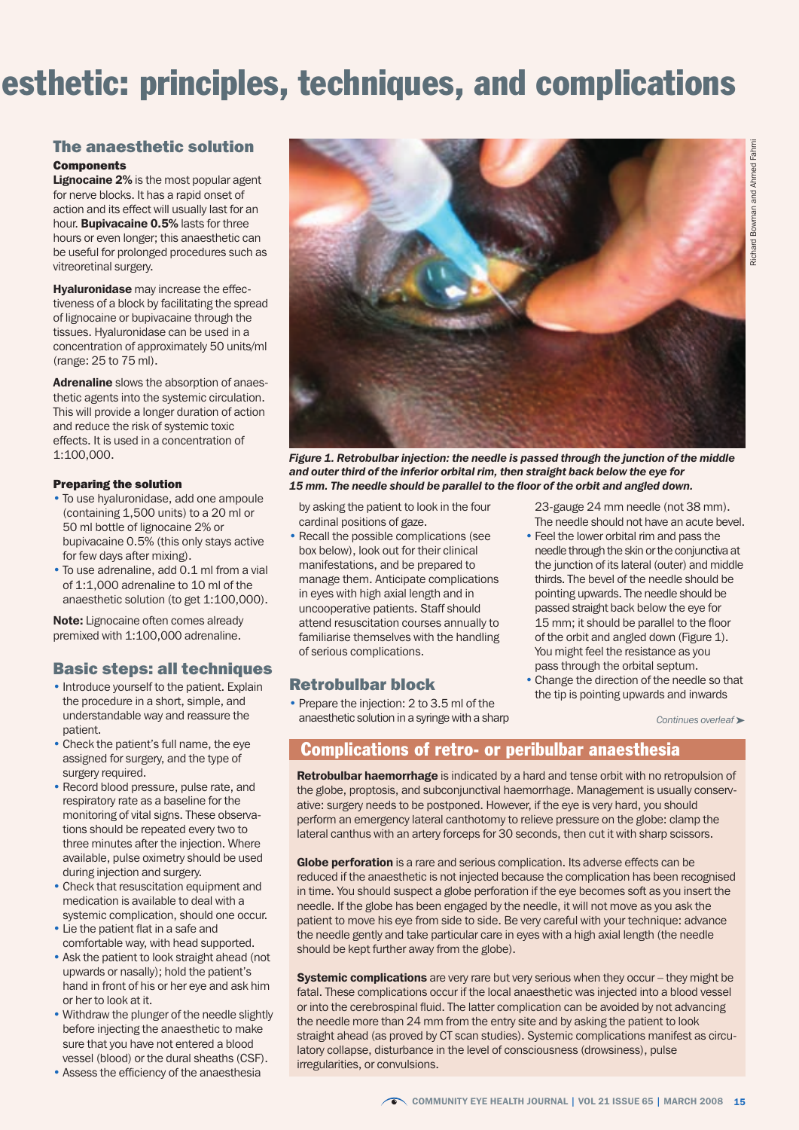# esthetic: principles, techniques, and complications

## The anaesthetic solution

#### **Components**

Lignocaine 2% is the most popular agent for nerve blocks. It has a rapid onset of action and its effect will usually last for an hour. Bupivacaine 0.5% lasts for three hours or even longer; this anaesthetic can be useful for prolonged procedures such as vitreoretinal surgery.

**Hyaluronidase** may increase the effectiveness of a block by facilitating the spread of lignocaine or bupivacaine through the tissues. Hyaluronidase can be used in a concentration of approximately 50 units/ml (range: 25 to 75 ml).

Adrenaline slows the absorption of anaesthetic agents into the systemic circulation. This will provide a longer duration of action and reduce the risk of systemic toxic effects. It is used in a concentration of 1:100,000.

#### Preparing the solution

- To use hyaluronidase, add one ampoule (containing 1,500 units) to a 20 ml or 50 ml bottle of lignocaine 2% or bupivacaine 0.5% (this only stays active for few days after mixing).
- $\cdot$  To use adrenaline, add 0.1 ml from a vial of 1:1,000 adrenaline to 10 ml of the anaesthetic solution (to get 1:100,000).

Note: Lignocaine often comes already premixed with 1:100,000 adrenaline.

# Basic steps: all techniques

- Introduce yourself to the patient. Explain the procedure in a short, simple, and understandable way and reassure the patient.
- Check the patient's full name, the eye assigned for surgery, and the type of surgery required.
- Record blood pressure, pulse rate, and respiratory rate as a baseline for the monitoring of vital signs. These observations should be repeated every two to three minutes after the injection. Where available, pulse oximetry should be used during injection and surgery.
- Check that resuscitation equipment and medication is available to deal with a systemic complication, should one occur.
- Lie the patient flat in a safe and comfortable way, with head supported.
- Ask the patient to look straight ahead (not upwards or nasally); hold the patient's hand in front of his or her eye and ask him or her to look at it.
- Withdraw the plunger of the needle slightly before injecting the anaesthetic to make sure that you have not entered a blood vessel (blood) or the dural sheaths (CSF).
- Assess the efficiency of the anaesthesia



*Figure 1. Retrobulbar injection: the needle is passed through the junction of the middle and outer third of the inferior orbital rim, then straight back below the eye for 15 mm. The needle should be parallel to the floor of the orbit and angled down.*

by asking the patient to look in the four cardinal positions of gaze.

• Recall the possible complications (see box below), look out for their clinical manifestations, and be prepared to manage them. Anticipate complications in eyes with high axial length and in uncooperative patients. Staff should attend resuscitation courses annually to familiarise themselves with the handling of serious complications.

## Retrobulbar block

• Prepare the injection: 2 to 3.5 ml of the anaesthetic solution in a syringe with a sharp

23-gauge 24 mm needle (not 38 mm). The needle should not have an acute bevel.

- Feel the lower orbital rim and pass the needle through the skin or the conjunctiva at the junction of its lateral (outer) and middle thirds. The bevel of the needle should be pointing upwards. The needle should be passed straight back below the eye for 15 mm; it should be parallel to the floor of the orbit and angled down (Figure 1). You might feel the resistance as you pass through the orbital septum.
- Change the direction of the needle so that the tip is pointing upwards and inwards

*Continues overleaf* ➤

### Complications of retro- or peribulbar anaesthesia

Retrobulbar haemorrhage is indicated by a hard and tense orbit with no retropulsion of the globe, proptosis, and subconjunctival haemorrhage. Management is usually conservative: surgery needs to be postponed. However, if the eye is very hard, you should perform an emergency lateral canthotomy to relieve pressure on the globe: clamp the lateral canthus with an artery forceps for 30 seconds, then cut it with sharp scissors.

Globe perforation is a rare and serious complication. Its adverse effects can be reduced if the anaesthetic is not injected because the complication has been recognised in time. You should suspect a globe perforation if the eye becomes soft as you insert the needle. If the globe has been engaged by the needle, it will not move as you ask the patient to move his eye from side to side. Be very careful with your technique: advance the needle gently and take particular care in eyes with a high axial length (the needle should be kept further away from the globe).

Systemic complications are very rare but very serious when they occur – they might be fatal. These complications occur if the local anaesthetic was injected into a blood vessel or into the cerebrospinal fluid. The latter complication can be avoided by not advancing the needle more than 24 mm from the entry site and by asking the patient to look straight ahead (as proved by CT scan studies). Systemic complications manifest as circulatory collapse, disturbance in the level of consciousness (drowsiness), pulse irregularities, or convulsions.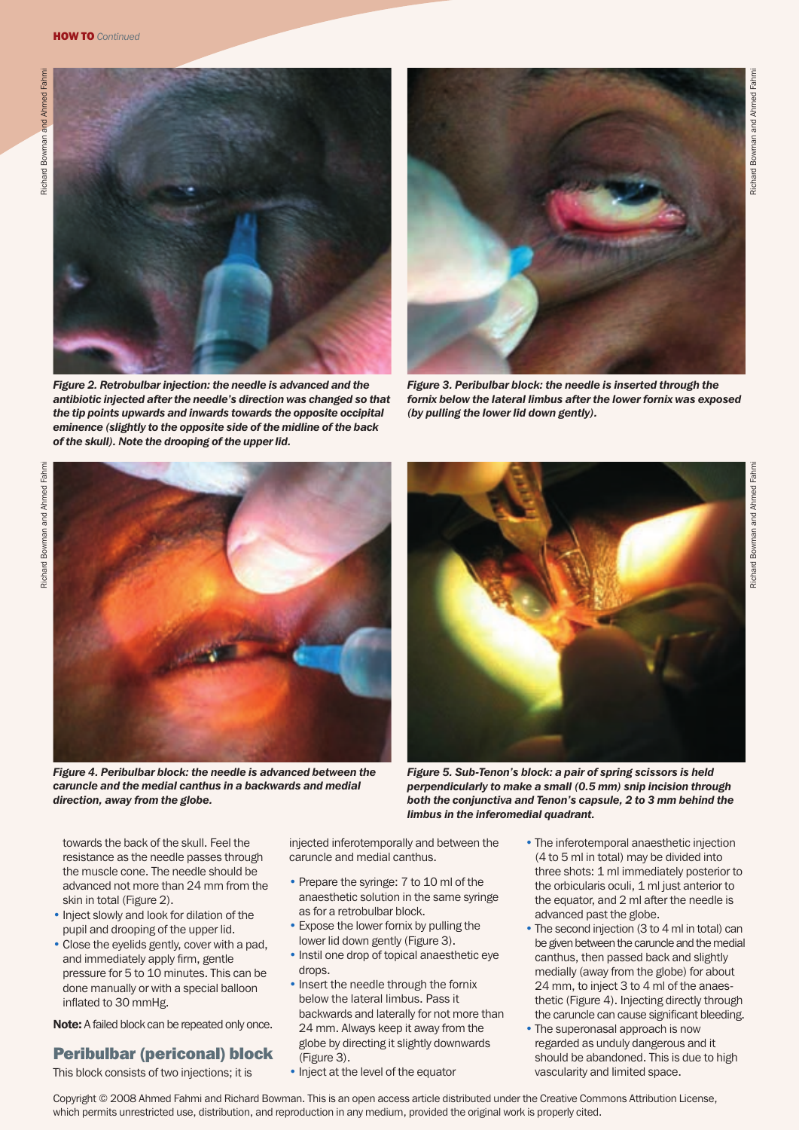

*Figure 2. Retrobulbar injection: the needle is advanced and the antibiotic injected after the needle's direction was changed so that the tip points upwards and inwards towards the opposite occipital eminence (slightly to the opposite side of the midline of the back of the skull). Note the drooping of the upper lid.* 



*Figure 3. Peribulbar block: the needle is inserted through the fornix below the lateral limbus after the lower fornix was exposed (by pulling the lower lid down gently).*



*Figure 4. Peribulbar block: the needle is advanced between the caruncle and the medial canthus in a backwards and medial direction, away from the globe.*



*Figure 5. Sub-Tenon's block: a pair of spring scissors is held perpendicularly to make a small (0.5 mm) snip incision through both the conjunctiva and Tenon's capsule, 2 to 3 mm behind the limbus in the inferomedial quadrant.*

towards the back of the skull. Feel the resistance as the needle passes through the muscle cone. The needle should be advanced not more than 24 mm from the skin in total (Figure 2).

- Inject slowly and look for dilation of the pupil and drooping of the upper lid.
- Close the eyelids gently, cover with a pad, and immediately apply firm, gentle pressure for 5 to 10 minutes. This can be done manually or with a special balloon inflated to 30 mmHg.

Note: A failed block can be repeated only once.

# Peribulbar (periconal) block

This block consists of two injections; it is

injected inferotemporally and between the caruncle and medial canthus.

- Prepare the syringe: 7 to 10 ml of the anaesthetic solution in the same syringe as for a retrobulbar block.
- Expose the lower fornix by pulling the lower lid down gently (Figure 3).
- Instil one drop of topical anaesthetic eye drops
- Insert the needle through the fornix below the lateral limbus. Pass it backwards and laterally for not more than 24 mm. Always keep it away from the globe by directing it slightly downwards (Figure 3).
- Inject at the level of the equator
- The inferotemporal anaesthetic injection (4 to 5 ml in total) may be divided into three shots: 1 ml immediately posterior to the orbicularis oculi, 1 ml just anterior to the equator, and 2 ml after the needle is advanced past the globe.
- The second injection (3 to 4 ml in total) can be given between the caruncle and the medial canthus, then passed back and slightly medially (away from the globe) for about 24 mm, to inject 3 to 4 ml of the anaesthetic (Figure 4). Injecting directly through the caruncle can cause significant bleeding.
- The superonasal approach is now regarded as unduly dangerous and it should be abandoned. This is due to high vascularity and limited space.

Richard Bowman and Ahmed Fahmi

Richard Bowman and Ahmed Fahm

Copyright © 2008 Ahmed Fahmi and Richard Bowman. This is an open access article distributed under the Creative Commons Attribution License, which permits unrestricted use, distribution, and reproduction in any medium, provided the original work is properly cited.